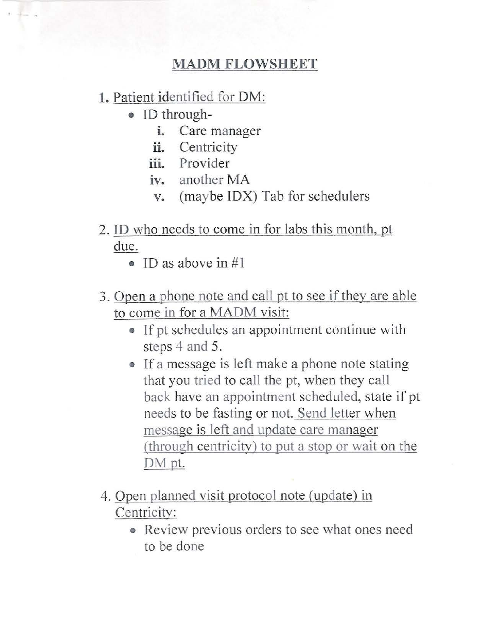## MADM **FLOWSHEET**

## **1.** Patient identified for DM:

- ID through
	- i. Care manager
	- ii. Centricity
	- **ni.** Provider
	- **iv.** another MA
	- v. (maybe IDX) Tab for schedulers
- 2. ID who needs to come in for labs this month, pt due.
	- ID as above in #1
- 3. Open a phone note and call pt to see if they are able to come in for a MADM visit:
	- If pt schedules an appointment continue with steps 4 and 5.
	- If a message is left make a phone note stating that you tried to call the pt, when they call back have an appointment scheduled, state if pt needs to be fasting or not. Send letter vvhen message is left and update care manager (through centricitv) to put a stop or wait on the DM pt.
- 4. Open planned visit protocol note (update) in Centricity:
	- Review previous orders to see what ones need to be done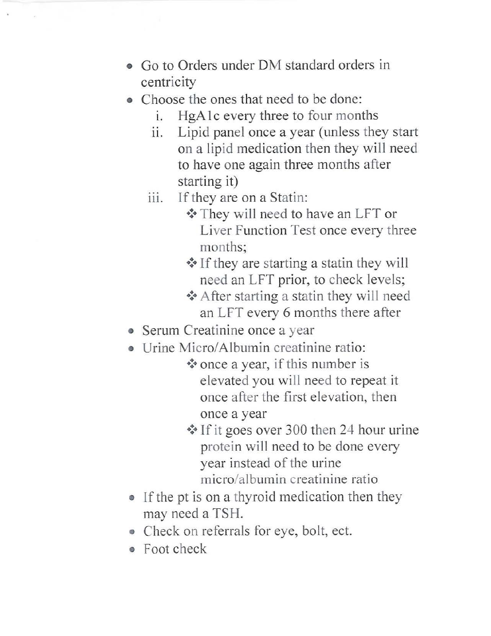- Go to Orders under DM standard orders in centricity
- Choose the ones that need to be done:
	- i. HgA 1 c every three to four months
	- ii. Lipid panel once a year (unless they start on a lipid medication then they will need to have one again three months after starting it)
	- iii. If they are on a Statin:
		- They will need to have an LFT or Liver Function Test once every three months;
		- If they are starting a statin they will need an LFT prior, to check levels;
		- After starting a statin they will need an LFT every 6 months there after
- Serum Creatinine once a year
- Urine Micro/Albumin creatinine ratio:
	- once a year, if this number is elevated you will need to repeat it once after the first elevation, then once a year
	- If it goes over 300 then 24 hour urine protein will need to be done every year instead of the urine micro/albumin creatinine ratio
- If the pt is on a thyroid medication then they may need a TSH.
- Check on referrals for eye, bolt, ect.
- o Foot check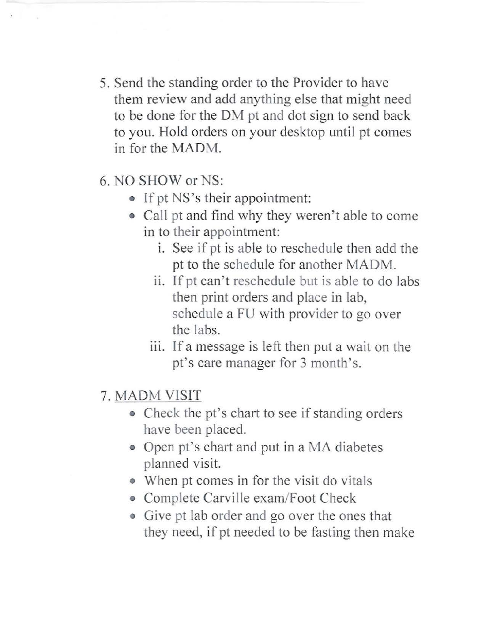- 5. Send the standing order to the Provider to have them review and add anything else that might need to be done for the DM pt and dot sign to send back to you. Hold orders on your desktop until pt comes in for the MADM.
- 6. NO SHOW or NS:
	- If pt NS's their appointment:
	- Call pt and find why they weren't able to come in to their appointment:
		- i. See if pt is able to reschedule then add the pt to the schedule for another MADM.
		- ii. If pt can't reschedule but is able to do labs then print orders and place in lab, schedule a FU with provider to go over the labs.
		- iii. If a message is left then put a wait on the pt's care manager for 3 month's.
- 7. MADM VISIT
	- Check the pt's chart to see if standing orders have been placed.
	- Open pt's chart and put in a MA diabetes planned visit.
	- When pt comes in for the visit do vitals
	- Complete Carville exam/Foot Check
	- Give pt lab order and go over the ones that they need, if pt needed to be fasting then make